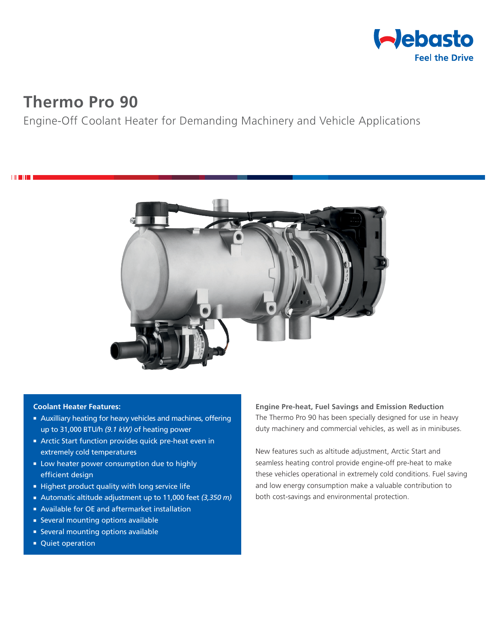

# **Thermo Pro 90**

**THEFT** 

# Engine-Off Coolant Heater for Demanding Machinery and Vehicle Applications



#### **Coolant Heater Features:**

- **Auxilliary heating for heavy vehicles and machines, offering** up to 31,000 BTU/h *(9.1 kW)* of heating power
- **Arctic Start function provides quick pre-heat even in** extremely cold temperatures
- **E** Low heater power consumption due to highly efficient design
- Highest product quality with long service life
- Automatic altitude adjustment up to 11,000 feet (3,350 m)
- Available for OE and aftermarket installation
- **Exercise Several mounting options available**
- **Exercal mounting options available**
- Quiet operation

**Engine Pre-heat, Fuel Savings and Emission Reduction** The Thermo Pro 90 has been specially designed for use in heavy duty machinery and commercial vehicles, as well as in minibuses.

New features such as altitude adjustment, Arctic Start and seamless heating control provide engine-off pre-heat to make these vehicles operational in extremely cold conditions. Fuel saving and low energy consumption make a valuable contribution to both cost-savings and environmental protection.